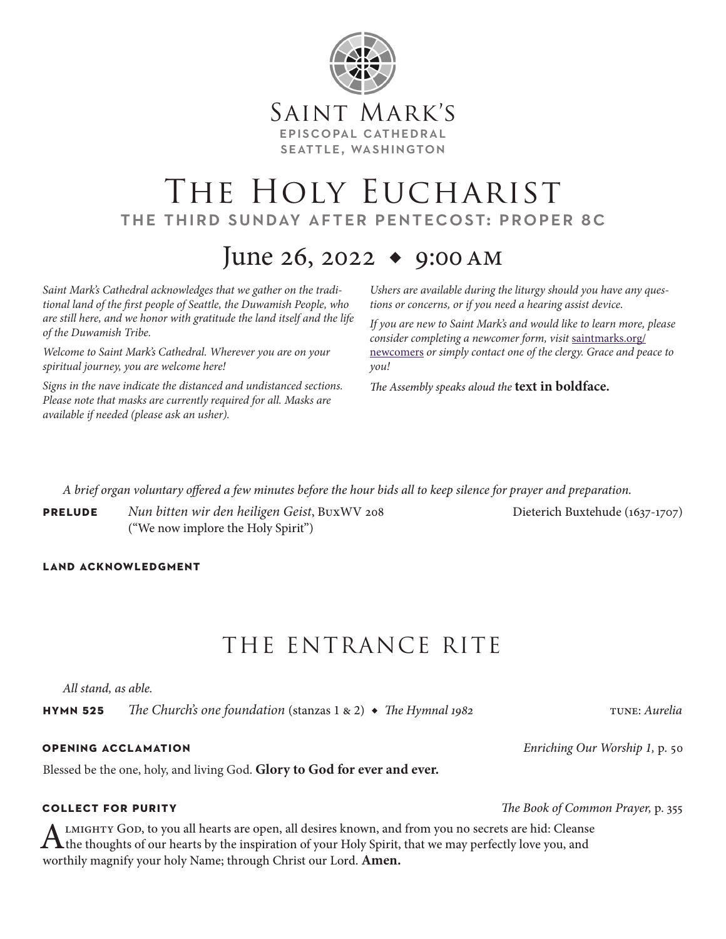

# THE HOLY EUCHARIST the third sunday after pentecost: proper 8c

# June 26, 2022  $\bullet$  9:00 AM

*Saint Mark's Cathedral acknowledges that we gather on the traditional land of the first people of Seattle, the Duwamish People, who are still here, and we honor with gratitude the land itself and the life of the Duwamish Tribe.* 

*Welcome to Saint Mark's Cathedral. Wherever you are on your spiritual journey, you are welcome here!*

*Signs in the nave indicate the distanced and undistanced sections. Please note that masks are currently required for all. Masks are available if needed (please ask an usher).*

*Ushers are available during the liturgy should you have any questions or concerns, or if you need a hearing assist device.*

*If you are new to Saint Mark's and would like to learn more, please consider completing a newcomer form, visit* saintmarks.org/ newcomers *or simply contact one of the clergy. Grace and peace to you!*

*The Assembly speaks aloud the* **text in boldface.**

*A brief organ voluntary offered a few minutes before the hour bids all to keep silence for prayer and preparation.*

**prelude** *Nun bitten wir den heiligen Geist*, BuxWV 208 Dieterich Buxtehude (1637-1707) ("We now implore the Holy Spirit")

**land acknowledgment**

# THE ENTRANCE RITE

*All stand, as able.*

**hymn 525** The Church's one foundation (stanzas 1 & 2) ◆ The Hymnal 1982 TUNE: *Aurelia* 

Blessed be the one, holy, and living God. **Glory to God for ever and ever.**

ALMIGHTY GOD, to you all hearts are open, all desires known, and from you no secrets are hid: Cleanse<br>the thoughts of our hearts by the inspiration of your Holy Spirit, that we may perfectly love you, and worthily magnify your holy Name; through Christ our Lord. **Amen.**

**opening acclamation** *Enriching Our Worship 1,* p. 50

**collect for purity** *The Book of Common Prayer,* p. 355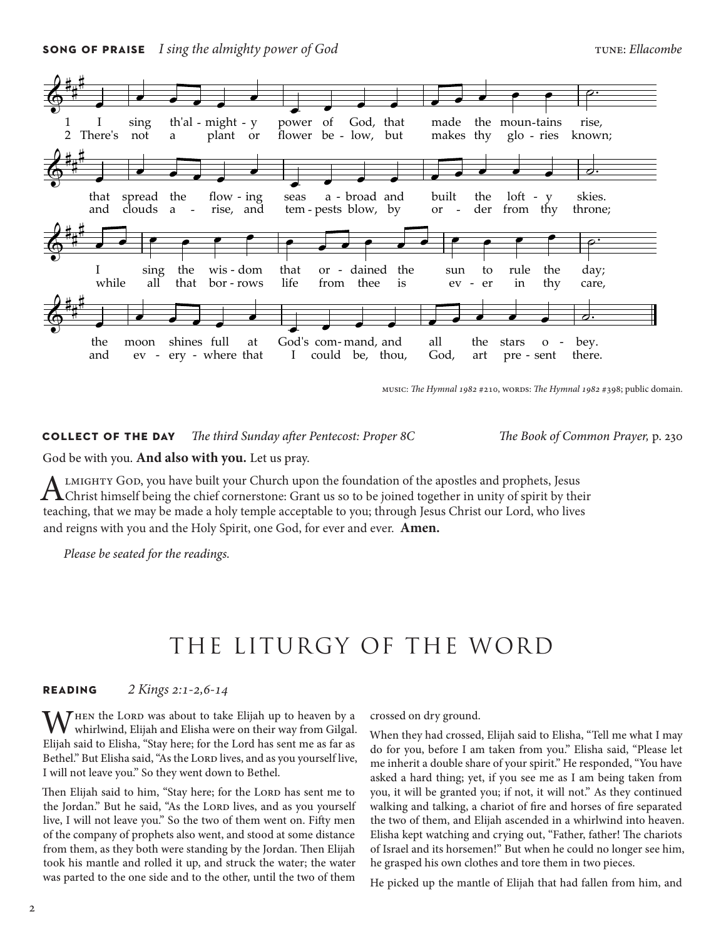

music: *The Hymnal 1982* #210, words: *The Hymnal 1982* #398; public domain.

**collect of the day** *The third Sunday after Pentecost: Proper 8C The Book of Common Prayer,* p. 230

God be with you. **And also with you.** Let us pray.

ALMIGHTY GOD, you have built your Church upon the foundation of the apostles and prophets, Jesus<br>Christ himself being the chief cornerstone: Grant us so to be joined together in unity of spirit by their teaching, that we may be made a holy temple acceptable to you; through Jesus Christ our Lord, who lives and reigns with you and the Holy Spirit, one God, for ever and ever. **Amen.**

*Please be seated for the readings.*

## THE LITURGY OF THE WORD

#### **reading** *2 Kings 2:1-2,6-14*

WHEN the LORD was about to take Elijah up to heaven by a whirlwind, Elijah and Elisha were on their way from Gilgal. Elijah said to Elisha, "Stay here; for the Lord has sent me as far as Bethel." But Elisha said, "As the LORD lives, and as you yourself live, I will not leave you." So they went down to Bethel.

Then Elijah said to him, "Stay here; for the LORD has sent me to the Jordan." But he said, "As the LORD lives, and as you yourself live, I will not leave you." So the two of them went on. Fifty men of the company of prophets also went, and stood at some distance from them, as they both were standing by the Jordan. Then Elijah took his mantle and rolled it up, and struck the water; the water was parted to the one side and to the other, until the two of them

crossed on dry ground.

When they had crossed, Elijah said to Elisha, "Tell me what I may do for you, before I am taken from you." Elisha said, "Please let me inherit a double share of your spirit." He responded, "You have asked a hard thing; yet, if you see me as I am being taken from you, it will be granted you; if not, it will not." As they continued walking and talking, a chariot of fire and horses of fire separated the two of them, and Elijah ascended in a whirlwind into heaven. Elisha kept watching and crying out, "Father, father! The chariots of Israel and its horsemen!" But when he could no longer see him, he grasped his own clothes and tore them in two pieces.

He picked up the mantle of Elijah that had fallen from him, and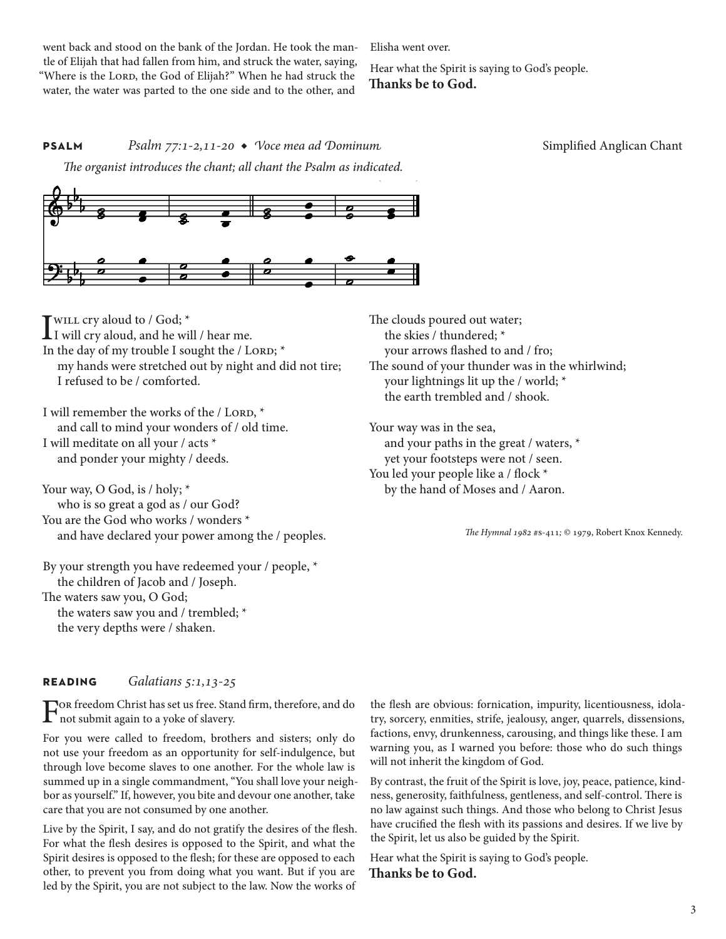went back and stood on the bank of the Jordan. He took the mantle of Elijah that had fallen from him, and struck the water, saying, "Where is the LORD, the God of Elijah?" When he had struck the water, the water was parted to the one side and to the other, and

Elisha went over.

Hear what the Spirit is saying to God's people. **Thanks be to God.**

**PSALM** *Psalm 77:1-2,11-20* • *Voce mea ad Dominum* Simplified Anglican Chant *The organist introduces the chant; all chant the Psalm as indicated.*



 $\prod_{i=1}^{\infty} \text{Will cry} \text{ aloud, and he will / hear me.}$ In the day of my trouble I sought the / LORD;  $*$ my hands were stretched out by night and did not tire; The sound of your thunder was i I refused to be / comforted. No permission is granted to include the vermission is granted to include the vermi I refused to be / comforted. when when when when we have by a choir, when  $\frac{1}{2}$  is covered by the publishers for the publishers for the publishers for the publishers for the publishers for the publishers for the publis

I will remember the works of the  $/$  LORD,  $*$ and call to mind your wonders of / old time. Your way was in the sea, I will meditate on all your / acts  $*$ and ponder your mighty / deeds.

Your way, O God, is / holy; \* who is so great a god as / our God? You are the God who works / wonders  $*$ and have declared your power among the / peoples.

By your strength you have redeemed your / people, \* the children of Jacob and / Joseph. The waters saw you, O God; the waters saw you and / trembled; \* the very depths were / shaken.

The clouds poured out water; the skies / thundered; \* your arrows flashed to and / fro; The sound of your thunder was in the whirlwind; the earth trembled and / shook.

Your way was in the sea, and your paths in the great / waters, \* yet your footsteps were not / seen. You led your people like a / flock \* by the hand of Moses and / Aaron.

*The Hymnal 1982* #s-411*;* © 1979, Robert Knox Kennedy.

#### **reading** *Galatians 5:1,13-25*

 $\mathbf{F}^{\mathrm{or}}$  freedom Christ has set us free. Stand firm, therefore, and do not submit again to a yoke of slavery.

For you were called to freedom, brothers and sisters; only do not use your freedom as an opportunity for self-indulgence, but through love become slaves to one another. For the whole law is summed up in a single commandment, "You shall love your neighbor as yourself." If, however, you bite and devour one another, take care that you are not consumed by one another.

Live by the Spirit, I say, and do not gratify the desires of the flesh. For what the flesh desires is opposed to the Spirit, and what the Spirit desires is opposed to the flesh; for these are opposed to each other, to prevent you from doing what you want. But if you are led by the Spirit, you are not subject to the law. Now the works of

the flesh are obvious: fornication, impurity, licentiousness, idolatry, sorcery, enmities, strife, jealousy, anger, quarrels, dissensions, factions, envy, drunkenness, carousing, and things like these. I am warning you, as I warned you before: those who do such things will not inherit the kingdom of God.

By contrast, the fruit of the Spirit is love, joy, peace, patience, kindness, generosity, faithfulness, gentleness, and self-control. There is no law against such things. And those who belong to Christ Jesus have crucified the flesh with its passions and desires. If we live by the Spirit, let us also be guided by the Spirit.

Hear what the Spirit is saying to God's people. **Thanks be to God.**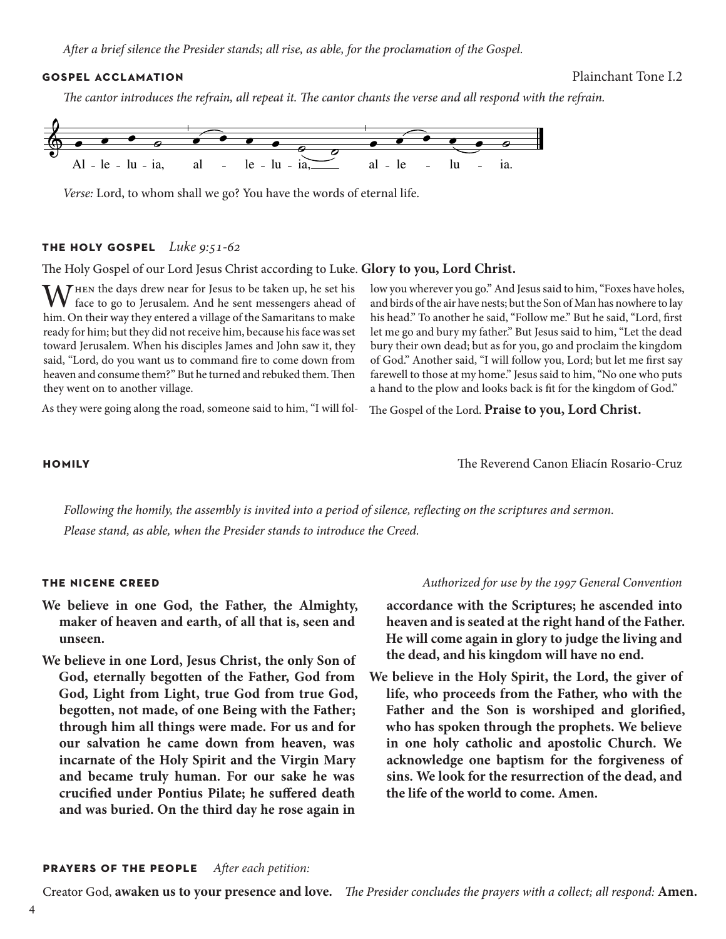#### **gospel acclamation** Plainchant Tone I.2

*The cantor introduces the refrain, all repeat it. The cantor chants the verse and all respond with the refrain.*



*Verse:* Lord, to whom shall we go? You have the words of eternal life.

## **the holy gospel** *Luke 9:51-62*

The Holy Gospel of our Lord Jesus Christ according to Luke. **Glory to you, Lord Christ.**

THEN the days drew near for Jesus to be taken up, he set his  $\mathsf{V}\n$  face to go to Jerusalem. And he sent messengers ahead of him. On their way they entered a village of the Samaritans to make ready for him; but they did not receive him, because his face was set toward Jerusalem. When his disciples James and John saw it, they said, "Lord, do you want us to command fire to come down from heaven and consume them?" But he turned and rebuked them. Then they went on to another village.

As they were going along the road, someone said to him, "I will fol-

low you wherever you go." And Jesus said to him, "Foxes have holes, and birds of the air have nests; but the Son of Man has nowhere to lay his head." To another he said, "Follow me." But he said, "Lord, first let me go and bury my father." But Jesus said to him, "Let the dead bury their own dead; but as for you, go and proclaim the kingdom of God." Another said, "I will follow you, Lord; but let me first say farewell to those at my home." Jesus said to him, "No one who puts a hand to the plow and looks back is fit for the kingdom of God."

The Gospel of the Lord. **Praise to you, Lord Christ.**

**homily** The Reverend Canon Eliacín Rosario-Cruz

*Following the homily, the assembly is invited into a period of silence, reflecting on the scriptures and sermon. Please stand, as able, when the Presider stands to introduce the Creed.*

- **We believe in one God, the Father, the Almighty, maker of heaven and earth, of all that is, seen and unseen.**
- **We believe in one Lord, Jesus Christ, the only Son of God, eternally begotten of the Father, God from God, Light from Light, true God from true God, begotten, not made, of one Being with the Father; through him all things were made. For us and for our salvation he came down from heaven, was incarnate of the Holy Spirit and the Virgin Mary and became truly human. For our sake he was crucified under Pontius Pilate; he suffered death and was buried. On the third day he rose again in**

#### **the nicene creed** *Authorized for use by the 1997 General Convention*

**accordance with the Scriptures; he ascended into heaven and is seated at the right hand of the Father. He will come again in glory to judge the living and the dead, and his kingdom will have no end.**

**We believe in the Holy Spirit, the Lord, the giver of life, who proceeds from the Father, who with the Father and the Son is worshiped and glorified, who has spoken through the prophets. We believe in one holy catholic and apostolic Church. We acknowledge one baptism for the forgiveness of sins. We look for the resurrection of the dead, and the life of the world to come. Amen.**

## **prayers of the people** *After each petition:*

Creator God, **awaken us to your presence and love.** *The Presider concludes the prayers with a collect; all respond:* **Amen.**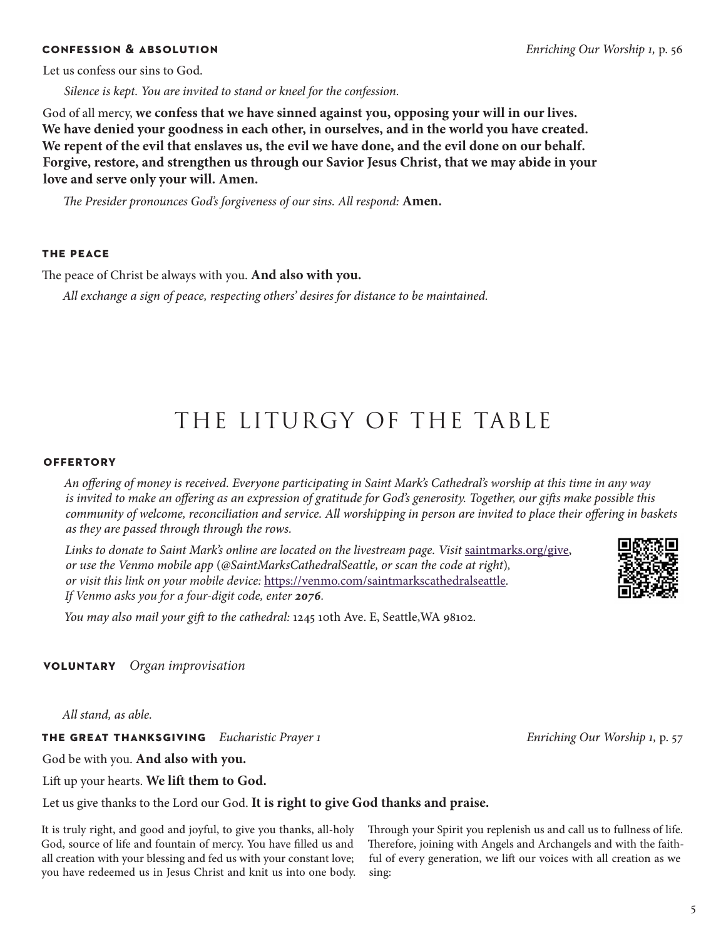#### **confession & absolution** *Enriching Our Worship 1,* p. 56

Let us confess our sins to God.

*Silence is kept. You are invited to stand or kneel for the confession.*

God of all mercy, **we confess that we have sinned against you, opposing your will in our lives. We have denied your goodness in each other, in ourselves, and in the world you have created. We repent of the evil that enslaves us, the evil we have done, and the evil done on our behalf. Forgive, restore, and strengthen us through our Savior Jesus Christ, that we may abide in your love and serve only your will. Amen.**

*The Presider pronounces God's forgiveness of our sins. All respond:* **Amen.**

#### **the peace**

The peace of Christ be always with you. **And also with you.**

*All exchange a sign of peace, respecting others' desires for distance to be maintained.* 

# THE LITURGY OF THE TABLE

#### **offertory**

*An offering of money is received. Everyone participating in Saint Mark's Cathedral's worship at this time in any way is invited to make an offering as an expression of gratitude for God's generosity. Together, our gifts make possible this community of welcome, reconciliation and service. All worshipping in person are invited to place their offering in baskets as they are passed through through the rows.* 

Links to donate to Saint Mark's online are located on the livestream page. Visit [saintmarks.org/give,](http://saintmarks.org/give) *or use the Venmo mobile app* (*@SaintMarksCathedralSeattle, or scan the code at right*)*, or visit this link on your mobile device:* <https://venmo.com/saintmarkscathedralseattle>*. If Venmo asks you for a four-digit code, enter 2076.*



*You may also mail your gift to the cathedral:* 1245 10th Ave. E, Seattle,WA 98102.

**voluntary** *Organ improvisation*

*All stand, as able.*

**the great thanksgiving** *Eucharistic Prayer 1 Enriching Our Worship 1,* p. 57

God be with you. **And also with you.** 

Lift up your hearts. **We lift them to God.** 

Let us give thanks to the Lord our God. **It is right to give God thanks and praise.**

It is truly right, and good and joyful, to give you thanks, all-holy God, source of life and fountain of mercy. You have filled us and all creation with your blessing and fed us with your constant love; you have redeemed us in Jesus Christ and knit us into one body. Through your Spirit you replenish us and call us to fullness of life. Therefore, joining with Angels and Archangels and with the faithful of every generation, we lift our voices with all creation as we sing: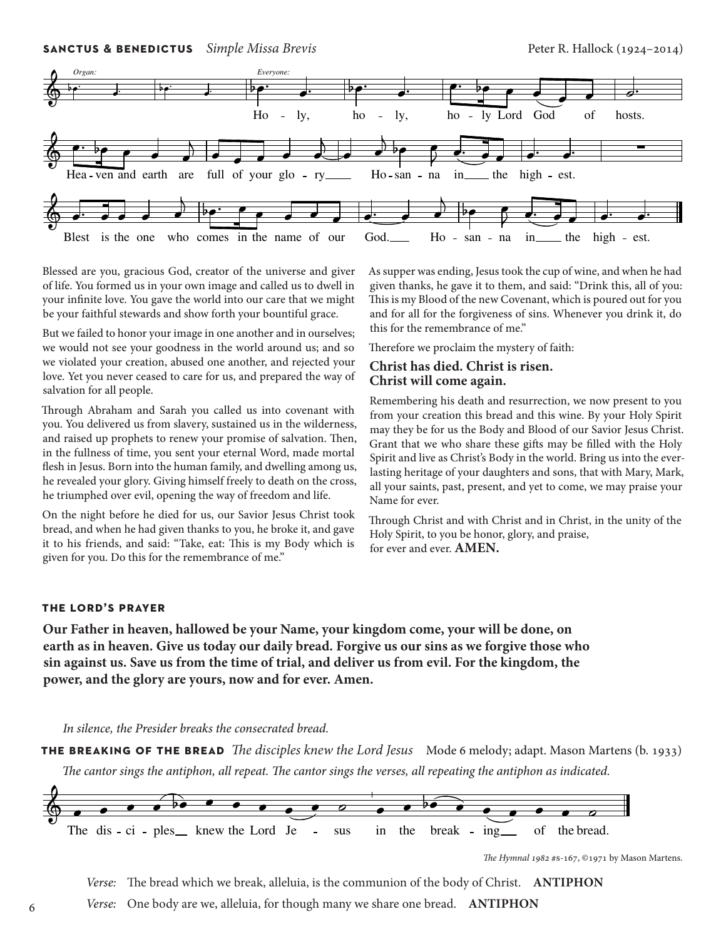**SANCTUS & BENEDICTUS** Simple Missa Brevis **Peter R. Hallock** (1924–2014)



Blessed are you, gracious God, creator of the universe and giver of life. You formed us in your own image and called us to dwell in your infinite love. You gave the world into our care that we might be your faithful stewards and show forth your bountiful grace.

But we failed to honor your image in one another and in ourselves; we would not see your goodness in the world around us; and so we violated your creation, abused one another, and rejected your love. Yet you never ceased to care for us, and prepared the way of salvation for all people.

Through Abraham and Sarah you called us into covenant with you. You delivered us from slavery, sustained us in the wilderness, and raised up prophets to renew your promise of salvation. Then, in the fullness of time, you sent your eternal Word, made mortal flesh in Jesus. Born into the human family, and dwelling among us, he revealed your glory. Giving himself freely to death on the cross, he triumphed over evil, opening the way of freedom and life.

On the night before he died for us, our Savior Jesus Christ took bread, and when he had given thanks to you, he broke it, and gave it to his friends, and said: "Take, eat: This is my Body which is given for you. Do this for the remembrance of me."

As supper was ending, Jesus took the cup of wine, and when he had given thanks, he gave it to them, and said: "Drink this, all of you: This is my Blood of the new Covenant, which is poured out for you and for all for the forgiveness of sins. Whenever you drink it, do this for the remembrance of me."

Therefore we proclaim the mystery of faith:

## **Christ has died. Christ is risen. Christ will come again.**

Remembering his death and resurrection, we now present to you from your creation this bread and this wine. By your Holy Spirit may they be for us the Body and Blood of our Savior Jesus Christ. Grant that we who share these gifts may be filled with the Holy Spirit and live as Christ's Body in the world. Bring us into the everlasting heritage of your daughters and sons, that with Mary, Mark, all your saints, past, present, and yet to come, we may praise your Name for ever.

Through Christ and with Christ and in Christ, in the unity of the Holy Spirit, to you be honor, glory, and praise, for ever and ever. **AMEN.**

## **the lord's prayer**

**Our Father in heaven, hallowed be your Name, your kingdom come, your will be done, on earth as in heaven. Give us today our daily bread. Forgive us our sins as we forgive those who sin against us. Save us from the time of trial, and deliver us from evil. For the kingdom, the power, and the glory are yours, now and for ever. Amen.**

#### *In silence, the Presider breaks the consecrated bread.*

**the breaking of the bread** *The disciples knew the Lord Jesus* Mode 6 melody; adapt. Mason Martens (b. 1933) *The cantor sings the antiphon, all repeat. The cantor sings the verses, all repeating the antiphon as indicated.*



*The Hymnal 1982* #s-167, ©1971 by Mason Martens.

*Verse:* The bread which we break, alleluia, is the communion of the body of Christ. **ANTIPHON**

*Verse:* One body are we, alleluia, for though many we share one bread. **ANTIPHON**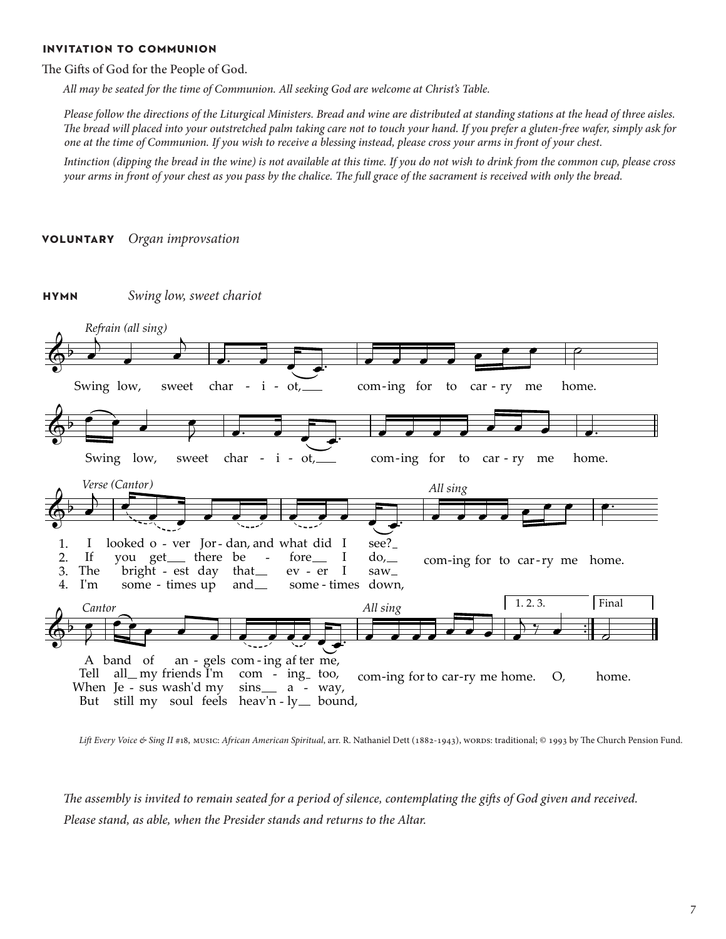#### **invitation to communion**

#### The Gifts of God for the People of God.

*All may be seated for the time of Communion. All seeking God are welcome at Christ's Table.* 

*Please follow the directions of the Liturgical Ministers. Bread and wine are distributed at standing stations at the head of three aisles. The bread will placed into your outstretched palm taking care not to touch your hand. If you prefer a gluten-free wafer, simply ask for one at the time of Communion. If you wish to receive a blessing instead, please cross your arms in front of your chest.*

*Intinction (dipping the bread in the wine) is not available at this time. If you do not wish to drink from the common cup, please cross your arms in front of your chest as you pass by the chalice. The full grace of the sacrament is received with only the bread.*

#### **voluntary** *Organ improvsation*



Hymn 18 in LEVAS II, An African American Hymnal, Copyright 1993 by The Church Pension Fund Lift Every Voice & Sing II #18, MUSIC: African American Spiritual, arr. R. Nathaniel Dett (1882-1943), words: traditional; © 1993 by The Church Pension Fund.

*The assembly is invited to remain seated for a period of silence, contemplating the gifts of God given and received. Please stand, as able, when the Presider stands and returns to the Altar.*